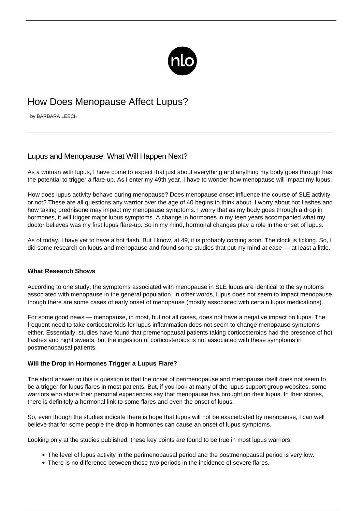

# How Does Menopause Affect Lupus?

by BARBARA LEECH

# Lupus and Menopause: What Will Happen Next?

As a woman with lupus, I have come to expect that just about everything and anything my body goes through has the potential to trigger a flare-up. As I enter my 49th year, I have to wonder how menopause will impact my lupus.

How does lupus activity behave during menopause? Does menopause onset influence the course of SLE activity or not? These are all questions any warrior over the age of 40 begins to think about. I worry about hot flashes and how taking prednisone may impact my menopause symptoms. I worry that as my body goes through a drop in hormones, it will trigger major lupus symptoms. A change in hormones in my teen years accompanied what my doctor believes was my first lupus flare-up. So in my mind, hormonal changes play a role in the onset of lupus.

As of today, I have yet to have a hot flash. But I know, at 49, it is probably coming soon. The clock is ticking. So, I did some research on lupus and menopause and found some studies that put my mind at ease — at least a little.

#### **What Research Shows**

According to [one study](https://www.hopkinsarthritis.org/physician-corner/rheumatology-rounds/round-29-menopause-in-women-with-systemic-lupus-erythematosus-a-clinical-perspective/), the symptoms associated with menopause in SLE lupus are identical to the symptoms associated with menopause in the general population. In other words, lupus does not seem to impact menopause, though there are some cases of early onset of menopause (mostly associated with certain lupus medications).

For some good news — menopause, in most, but not all cases, does not have a negative impact on lupus. The frequent need to take corticosteroids for lupus inflammation does not seem to change menopause symptoms either. Essentially, studies have found that premenopausal patients taking corticosteroids had the presence of hot flashes and night sweats, but the ingestion of corticosteroids is not associated with these symptoms in postmenopausal patients.

#### **Will the Drop in Hormones Trigger a Lupus Flare?**

The short answer to this is question is that the onset of perimenopause and menopause itself does not seem to be a trigger for lupus flares in most patients. But, if you look at many of the lupus support group websites, some warriors who share their personal experiences say that menopause has brought on their lupus. In their stories, there is definitely a hormonal link to some flares and even the onset of lupus.

So, even though the studies indicate there is hope that lupus will not be exacerbated by menopause, I can well believe that for some people the drop in hormones can cause an onset of lupus symptoms.

Looking only at the studies published, these key points are found to be true in most lupus warriors:

- The level of lupus activity in the perimenopausal period and the postmenopausal period is very low.
- There is no difference between these two periods in the incidence of severe flares.